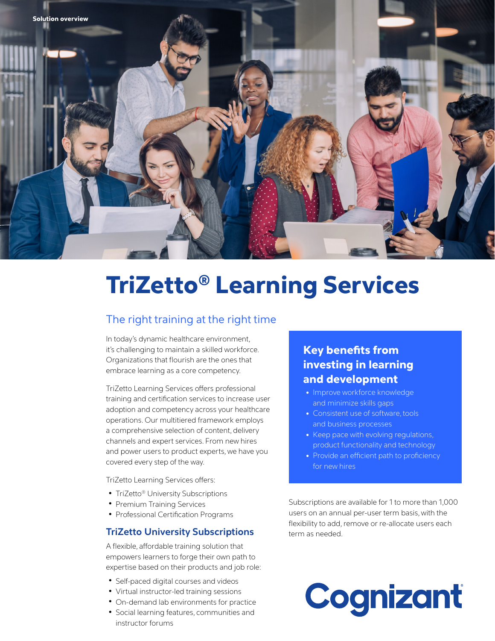

# TriZetto® Learning Services

## The right training at the right time

In today's dynamic healthcare environment, it's challenging to maintain a skilled workforce. Organizations that flourish are the ones that embrace learning as a core competency.

TriZetto Learning Services offers professional training and certification services to increase user adoption and competency across your healthcare operations. Our multitiered framework employs a comprehensive selection of content, delivery channels and expert services. From new hires and power users to product experts, we have you covered every step of the way.

TriZetto Learning Services offers:

- TriZetto® University Subscriptions
- Premium Training Services
- Professional Certification Programs

#### **TriZetto University Subscriptions**

A flexible, affordable training solution that empowers learners to forge their own path to expertise based on their products and job role:

- Self-paced digital courses and videos
- Virtual instructor-led training sessions
- On-demand lab environments for practice
- Social learning features, communities and instructor forums

# Key benefits from investing in learning and development

- Improve workforce knowledge and minimize skills gaps
- Consistent use of software, tools and business processes
- Keep pace with evolving regulations, product functionality and technology
- Provide an efficient path to proficiency for new hires

Subscriptions are available for 1 to more than 1,000 users on an annual per-user term basis, with the flexibility to add, remove or re-allocate users each term as needed.

# Cognizant